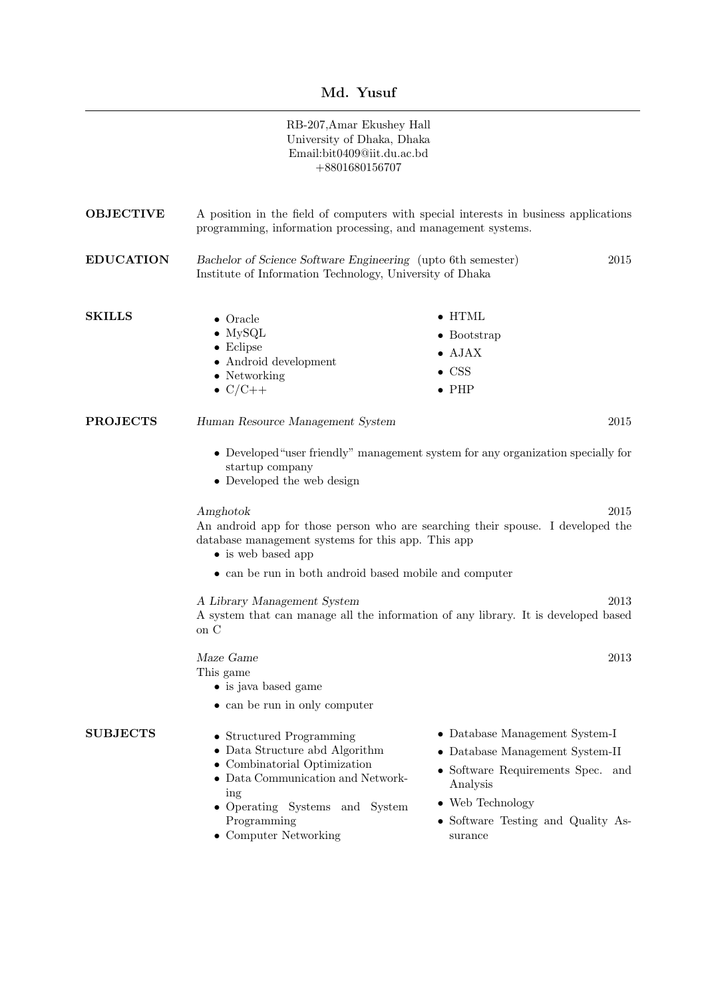## Md. Yusuf

|                  | RB-207, Amar Ekushey Hall<br>University of Dhaka, Dhaka<br>Email:bit0409@iit.du.ac.bd<br>$+8801680156707$                                                                                                                                                                                                                                                        |                                                                                                                                                                                                 |
|------------------|------------------------------------------------------------------------------------------------------------------------------------------------------------------------------------------------------------------------------------------------------------------------------------------------------------------------------------------------------------------|-------------------------------------------------------------------------------------------------------------------------------------------------------------------------------------------------|
| <b>OBJECTIVE</b> | A position in the field of computers with special interests in business applications<br>programming, information processing, and management systems.                                                                                                                                                                                                             |                                                                                                                                                                                                 |
| <b>EDUCATION</b> | Bachelor of Science Software Engineering (upto 6th semester)<br>2015<br>Institute of Information Technology, University of Dhaka                                                                                                                                                                                                                                 |                                                                                                                                                                                                 |
| <b>SKILLS</b>    | $\bullet$ Oracle<br>$\bullet$ MySQL<br>$\bullet$ Eclipse<br>• Android development<br>$\bullet$ Networking<br>$\bullet$ C/C++                                                                                                                                                                                                                                     | $\bullet$ HTML<br>$\bullet$ Bootstrap<br>$\bullet$ AJAX<br>$\bullet$ CSS<br>$\bullet$ PHP                                                                                                       |
| <b>PROJECTS</b>  | 2015<br>Human Resource Management System<br>• Developed "user friendly" management system for any organization specially for<br>startup company<br>• Developed the web design<br>2015<br>Amghotok<br>An android app for those person who are searching their spouse. I developed the<br>database management systems for this app. This app<br>• is web based app |                                                                                                                                                                                                 |
|                  |                                                                                                                                                                                                                                                                                                                                                                  |                                                                                                                                                                                                 |
|                  | • can be run in both android based mobile and computer<br>A Library Management System<br>2013<br>A system that can manage all the information of any library. It is developed based<br>on C                                                                                                                                                                      |                                                                                                                                                                                                 |
|                  | Maze Game<br>This game<br>• is java based game<br>• can be run in only computer                                                                                                                                                                                                                                                                                  | 2013                                                                                                                                                                                            |
| <b>SUBJECTS</b>  | • Structured Programming<br>• Data Structure abd Algorithm<br>• Combinatorial Optimization<br>• Data Communication and Network-<br>ing<br>• Operating Systems and System<br>Programming<br>• Computer Networking                                                                                                                                                 | • Database Management System-I<br>$\bullet$ Database Management System-II<br>• Software Requirements Spec. and<br>Analysis<br>• Web Technology<br>• Software Testing and Quality As-<br>surance |